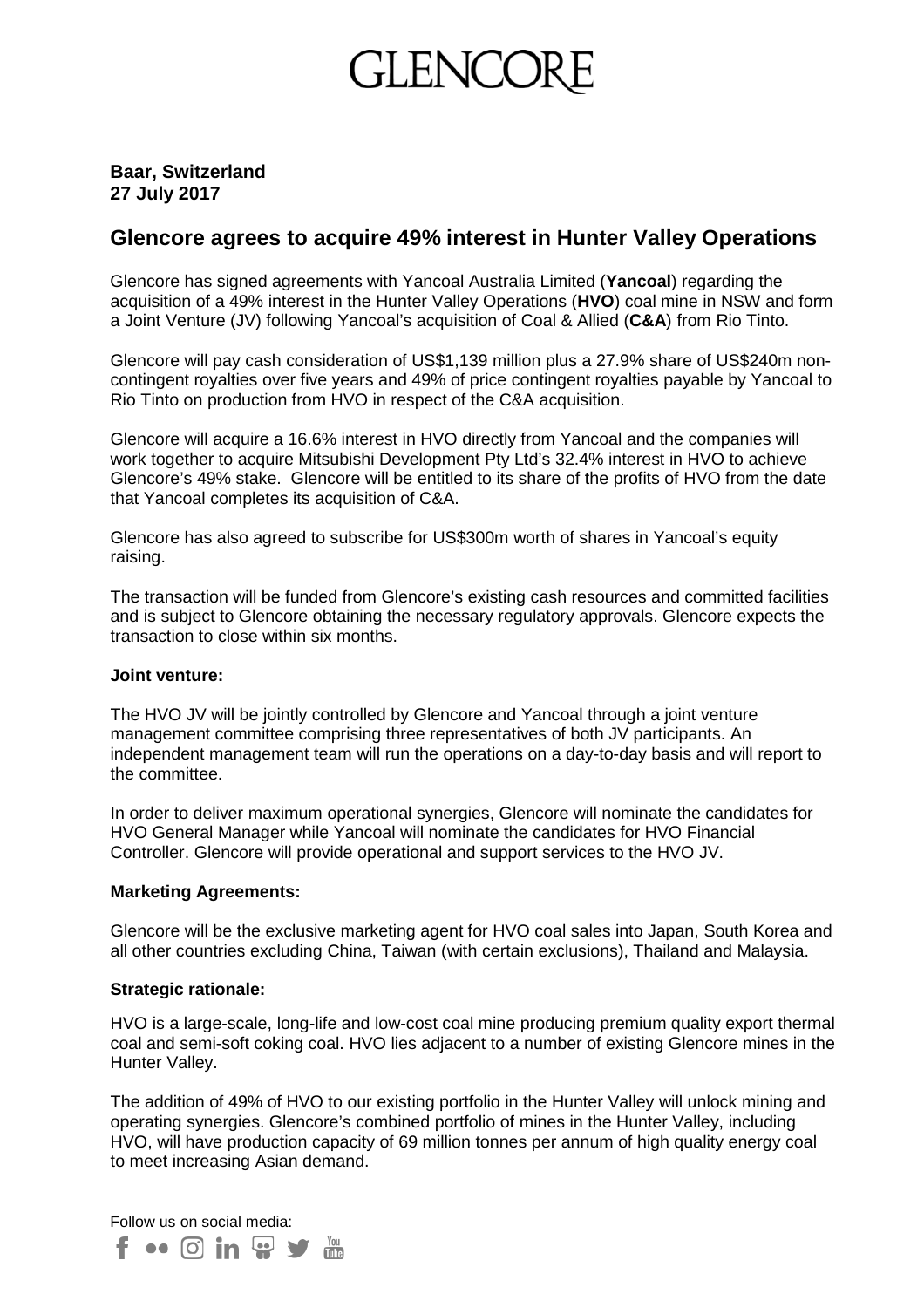# GLENCC

# **Baar, Switzerland 27 July 2017**

# **Glencore agrees to acquire 49% interest in Hunter Valley Operations**

Glencore has signed agreements with Yancoal Australia Limited (**Yancoal**) regarding the acquisition of a 49% interest in the Hunter Valley Operations (**HVO**) coal mine in NSW and form a Joint Venture (JV) following Yancoal's acquisition of Coal & Allied (**C&A**) from Rio Tinto.

Glencore will pay cash consideration of US\$1,139 million plus a 27.9% share of US\$240m noncontingent royalties over five years and 49% of price contingent royalties payable by Yancoal to Rio Tinto on production from HVO in respect of the C&A acquisition.

Glencore will acquire a 16.6% interest in HVO directly from Yancoal and the companies will work together to acquire Mitsubishi Development Pty Ltd's 32.4% interest in HVO to achieve Glencore's 49% stake. Glencore will be entitled to its share of the profits of HVO from the date that Yancoal completes its acquisition of C&A.

Glencore has also agreed to subscribe for US\$300m worth of shares in Yancoal's equity raising.

The transaction will be funded from Glencore's existing cash resources and committed facilities and is subject to Glencore obtaining the necessary regulatory approvals. Glencore expects the transaction to close within six months.

# **Joint venture:**

The HVO JV will be jointly controlled by Glencore and Yancoal through a joint venture management committee comprising three representatives of both JV participants. An independent management team will run the operations on a day-to-day basis and will report to the committee.

In order to deliver maximum operational synergies, Glencore will nominate the candidates for HVO General Manager while Yancoal will nominate the candidates for HVO Financial Controller. Glencore will provide operational and support services to the HVO JV.

# **Marketing Agreements:**

Glencore will be the exclusive marketing agent for HVO coal sales into Japan, South Korea and all other countries excluding China, Taiwan (with certain exclusions), Thailand and Malaysia.

# **Strategic rationale:**

HVO is a large-scale, long-life and low-cost coal mine producing premium quality export thermal coal and semi-soft coking coal. HVO lies adjacent to a number of existing Glencore mines in the Hunter Valley.

The addition of 49% of HVO to our existing portfolio in the Hunter Valley will unlock mining and operating synergies. Glencore's combined portfolio of mines in the Hunter Valley, including HVO, will have production capacity of 69 million tonnes per annum of high quality energy coal to meet increasing Asian demand.

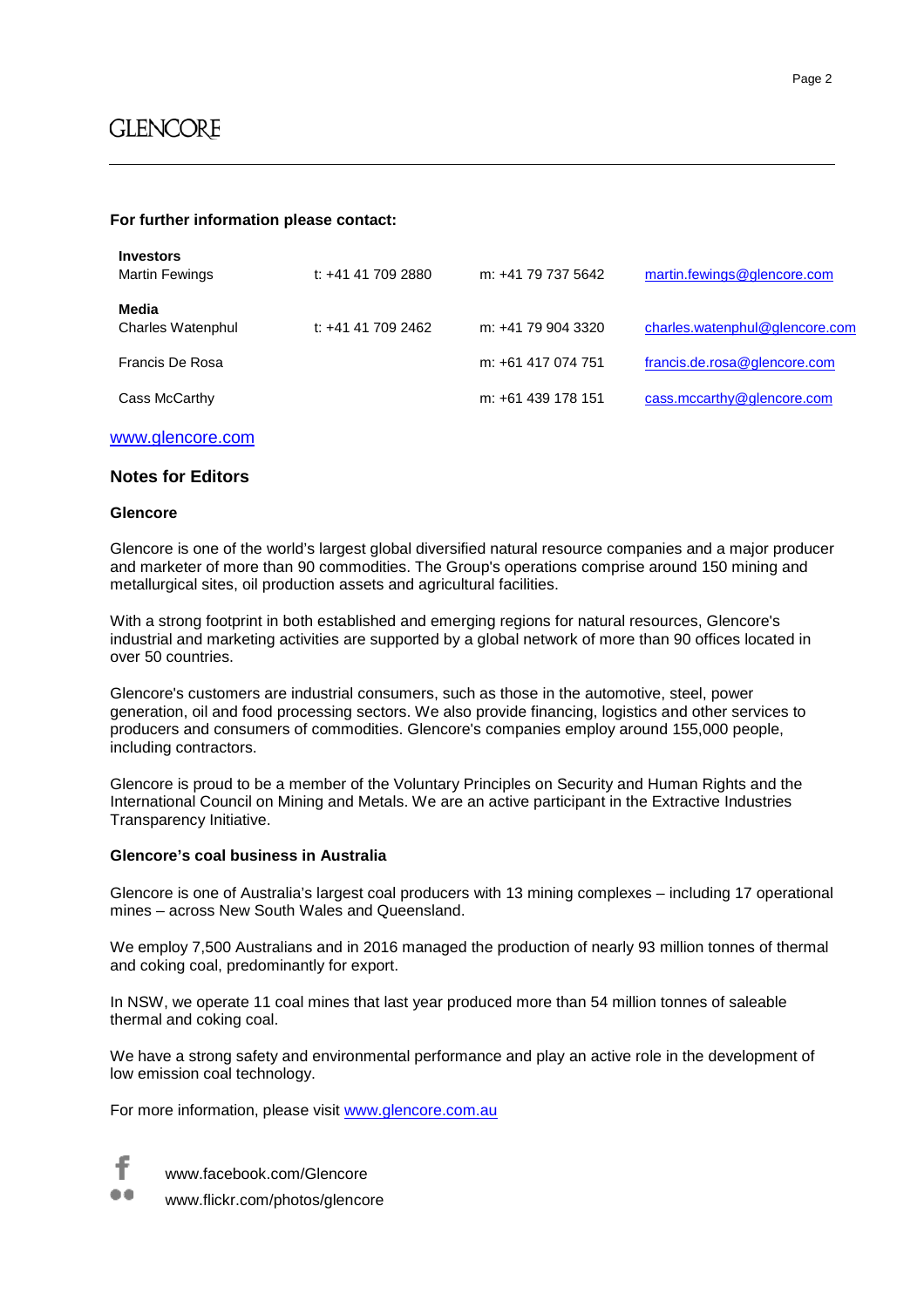#### **For further information please contact:**

| <b>Investors</b><br><b>Martin Fewings</b> | t: +41 41 709 2880 | m: +41 79 737 5642 | martin.fewings@glencore.com    |
|-------------------------------------------|--------------------|--------------------|--------------------------------|
| Media<br><b>Charles Watenphul</b>         | t: +41 41 709 2462 | m: +41 79 904 3320 | charles.watenphul@glencore.com |
| Francis De Rosa                           |                    | m: +61 417 074 751 | francis.de.rosa@glencore.com   |
| Cass McCarthy                             |                    | m: +61 439 178 151 | cass.mccarthy@glencore.com     |

#### [www.glencore.com](http://www.glencore.com/)

#### **Notes for Editors**

#### **Glencore**

Glencore is one of the world's largest global diversified natural resource companies and a major producer and marketer of more than 90 commodities. The Group's operations comprise around 150 mining and metallurgical sites, oil production assets and agricultural facilities.

With a strong footprint in both established and emerging regions for natural resources, Glencore's industrial and marketing activities are supported by a global network of more than 90 offices located in over 50 countries.

Glencore's customers are industrial consumers, such as those in the automotive, steel, power generation, oil and food processing sectors. We also provide financing, logistics and other services to producers and consumers of commodities. Glencore's companies employ around 155,000 people, including contractors.

Glencore is proud to be a member of the Voluntary Principles on Security and Human Rights and the International Council on Mining and Metals. We are an active participant in the Extractive Industries Transparency Initiative.

#### **Glencore's coal business in Australia**

Glencore is one of Australia's largest coal producers with 13 mining complexes – including 17 operational mines – across New South Wales and Queensland.

We employ 7,500 Australians and in 2016 managed the production of nearly 93 million tonnes of thermal and coking coal, predominantly for export.

In NSW, we operate 11 coal mines that last year produced more than 54 million tonnes of saleable thermal and coking coal.

We have a strong safety and environmental performance and play an active role in the development of low emission coal technology.

For more information, please visit [www.glencore.com.au](http://www.glencore.com.au/)



www.facebook.com/Glencore

www.flickr.com/photos/glencore